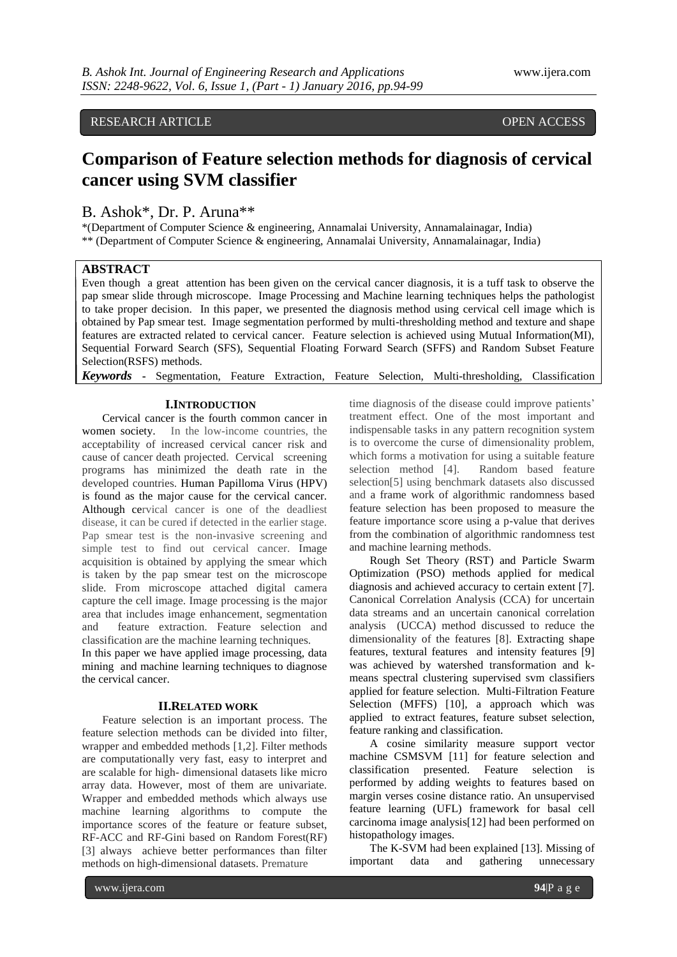RESEARCH ARTICLE **CONSERVERS** OPEN ACCESS

## **Comparison of Feature selection methods for diagnosis of cervical cancer using SVM classifier**

### B. Ashok\*, Dr. P. Aruna\*\*

\*(Department of Computer Science & engineering, Annamalai University, Annamalainagar, India) \*\* (Department of Computer Science & engineering, Annamalai University, Annamalainagar, India)

#### **ABSTRACT**

Even though a great attention has been given on the cervical cancer diagnosis, it is a tuff task to observe the pap smear slide through microscope. Image Processing and Machine learning techniques helps the pathologist to take proper decision. In this paper, we presented the diagnosis method using cervical cell image which is obtained by Pap smear test. Image segmentation performed by multi-thresholding method and texture and shape features are extracted related to cervical cancer. Feature selection is achieved using Mutual Information(MI), Sequential Forward Search (SFS), Sequential Floating Forward Search (SFFS) and Random Subset Feature Selection(RSFS) methods.

*Keywords* **-** Segmentation, Feature Extraction, Feature Selection, Multi-thresholding, Classification

#### **I.INTRODUCTION**

Cervical cancer is the fourth common cancer in women society. In the low-income countries, the acceptability of increased cervical cancer risk and cause of cancer death projected. Cervical screening programs has minimized the death rate in the developed countries. Human Papilloma Virus (HPV) is found as the major cause for the cervical cancer. Although cervical cancer is one of the deadliest disease, it can be cured if detected in the earlier stage. Pap smear test is the non-invasive screening and simple test to find out cervical cancer. Image acquisition is obtained by applying the smear which is taken by the pap smear test on the microscope slide. From microscope attached digital camera capture the cell image. Image processing is the major area that includes image enhancement, segmentation and feature extraction. Feature selection and classification are the machine learning techniques.

In this paper we have applied image processing, data mining and machine learning techniques to diagnose the cervical cancer.

#### **II.RELATED WORK**

Feature selection is an important process. The feature selection methods can be divided into filter, wrapper and embedded methods [1,2]. Filter methods are computationally very fast, easy to interpret and are scalable for high- dimensional datasets like micro array data. However, most of them are univariate. Wrapper and embedded methods which always use machine learning algorithms to compute the importance scores of the feature or feature subset, RF-ACC and RF-Gini based on Random Forest(RF) [3] always achieve better performances than filter methods on high-dimensional datasets. Premature

time diagnosis of the disease could improve patients' treatment effect. One of the most important and indispensable tasks in any pattern recognition system is to overcome the curse of dimensionality problem, which forms a motivation for using a suitable feature selection method [4]. Random based feature selection[5] using benchmark datasets also discussed and a frame work of algorithmic randomness based feature selection has been proposed to measure the feature importance score using a p-value that derives from the combination of algorithmic randomness test and machine learning methods.

Rough Set Theory (RST) and Particle Swarm Optimization (PSO) methods applied for medical diagnosis and achieved accuracy to certain extent [7]. Canonical Correlation Analysis (CCA) for uncertain data streams and an uncertain canonical correlation analysis (UCCA) method discussed to reduce the dimensionality of the features [8]. Extracting shape features, textural features and intensity features [9] was achieved by watershed transformation and kmeans spectral clustering supervised svm classifiers applied for feature selection. Multi-Filtration Feature Selection (MFFS) [10], a approach which was applied to extract features, feature subset selection, feature ranking and classification.

A cosine similarity measure support vector machine CSMSVM [11] for feature selection and classification presented. Feature selection is performed by adding weights to features based on margin verses cosine distance ratio. An unsupervised feature learning (UFL) framework for basal cell carcinoma image analysis[12] had been performed on histopathology images.

The K-SVM had been explained [13]. Missing of important data and gathering unnecessary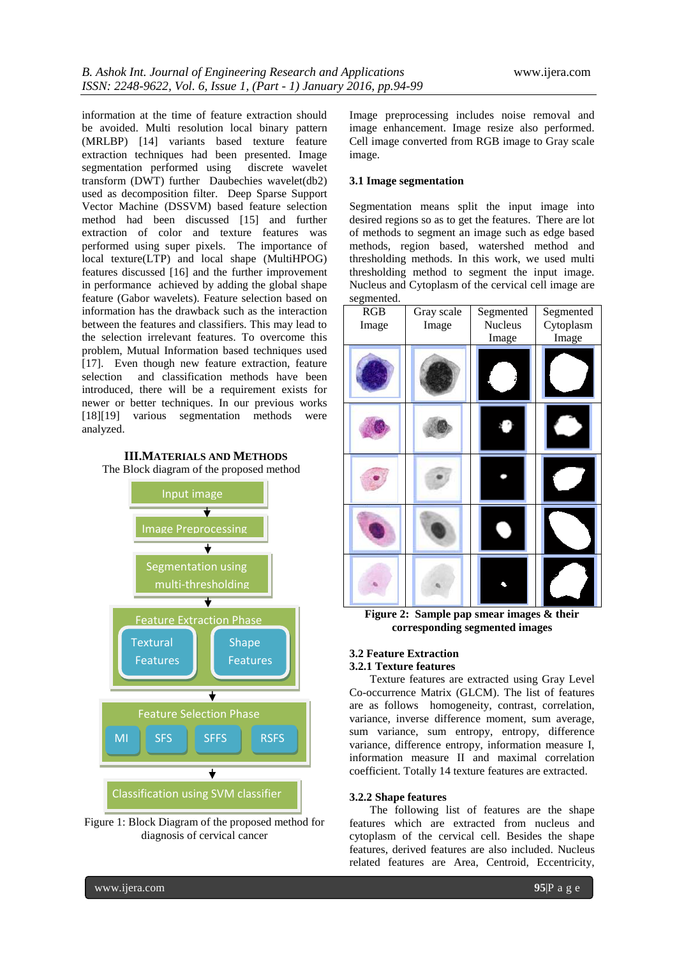information at the time of feature extraction should be avoided. Multi resolution local binary pattern (MRLBP) [14] variants based texture feature extraction techniques had been presented. Image segmentation performed using discrete wavelet transform (DWT) further Daubechies wavelet(db2) used as decomposition filter. Deep Sparse Support Vector Machine (DSSVM) based feature selection method had been discussed [15] and further extraction of color and texture features was performed using super pixels. The importance of local texture(LTP) and local shape (MultiHPOG) features discussed [16] and the further improvement in performance achieved by adding the global shape feature (Gabor wavelets). Feature selection based on information has the drawback such as the interaction between the features and classifiers. This may lead to the selection irrelevant features. To overcome this problem, Mutual Information based techniques used [17]. Even though new feature extraction, feature selection and classification methods have been introduced, there will be a requirement exists for newer or better techniques. In our previous works [18][19] various segmentation methods were analyzed.



Input image  $\overline{\phantom{a}}$ Image Preprocessing Segmentation using multi-thresholding  $\overline{\textbf{t}}$ Feature Extraction Phase Textural **Shape Features** Features Feature Selection Phase MI SFS SFFS RSFS $\bigstar$ Classification using SVM classifier

Figure 1: Block Diagram of the proposed method for diagnosis of cervical cancer

Image preprocessing includes noise removal and image enhancement. Image resize also performed. Cell image converted from RGB image to Gray scale image.

#### **3.1 Image segmentation**

Segmentation means split the input image into desired regions so as to get the features. There are lot of methods to segment an image such as edge based methods, region based, watershed method and thresholding methods. In this work, we used multi thresholding method to segment the input image. Nucleus and Cytoplasm of the cervical cell image are segmented.

| RGB<br>Image | Gray scale<br>Image | Segmented<br>Nucleus<br>Image | Segmented<br>Cytoplasm<br>Image |
|--------------|---------------------|-------------------------------|---------------------------------|
|              |                     |                               |                                 |
|              |                     |                               |                                 |
|              |                     |                               |                                 |
|              |                     |                               |                                 |
| 172<br>^     | $C_{\infty}$<br>п   |                               | 0.41<br>$\sim$ 2                |

**Figure 2: Sample pap smear images & their corresponding segmented images**

#### **3.2 Feature Extraction 3.2.1 Texture features**

Texture features are extracted using Gray Level Co-occurrence Matrix (GLCM). The list of features are as follows homogeneity, contrast, correlation, variance, inverse difference moment, sum average, sum variance, sum entropy, entropy, difference variance, difference entropy, information measure I, information measure II and maximal correlation coefficient. Totally 14 texture features are extracted.

#### **3.2.2 Shape features**

The following list of features are the shape features which are extracted from nucleus and cytoplasm of the cervical cell. Besides the shape features, derived features are also included. Nucleus related features are Area, Centroid, Eccentricity,

www.ijera.com **95**|P a g e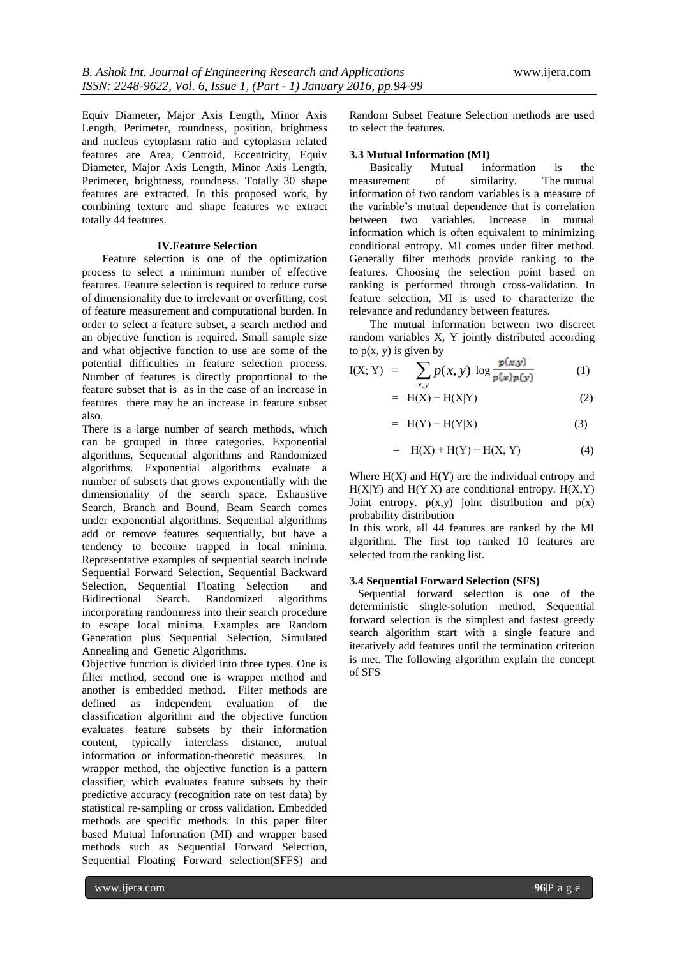Equiv Diameter, Major Axis Length, Minor Axis Length, Perimeter, roundness, position, brightness and nucleus cytoplasm ratio and cytoplasm related features are Area, Centroid, Eccentricity, Equiv Diameter, Major Axis Length, Minor Axis Length, Perimeter, brightness, roundness. Totally 30 shape features are extracted. In this proposed work, by combining texture and shape features we extract totally 44 features.

#### **IV.Feature Selection**

Feature selection is one of the optimization process to select a minimum number of effective features. Feature selection is required to reduce curse of dimensionality due to irrelevant or overfitting, cost of feature measurement and computational burden. In order to select a feature subset, a search method and an objective function is required. Small sample size and what objective function to use are some of the potential difficulties in feature selection process. Number of features is directly proportional to the feature subset that is as in the case of an increase in features there may be an increase in feature subset also.

There is a large number of search methods, which can be grouped in three categories. Exponential algorithms, Sequential algorithms and Randomized algorithms. Exponential algorithms evaluate a number of subsets that grows exponentially with the dimensionality of the search space. Exhaustive Search, Branch and Bound, Beam Search comes under exponential algorithms. Sequential algorithms add or remove features sequentially, but have a tendency to become trapped in local minima. Representative examples of sequential search include Sequential Forward Selection, Sequential Backward Selection, Sequential Floating Selection and Bidirectional Search. Randomized algorithms incorporating randomness into their search procedure to escape local minima. Examples are Random Generation plus Sequential Selection, Simulated Annealing and Genetic Algorithms.

Objective function is divided into three types. One is filter method, second one is wrapper method and another is embedded method. Filter methods are defined as independent evaluation of the classification algorithm and the objective function evaluates feature subsets by their information content, typically interclass distance, mutual information or information-theoretic measures. In wrapper method, the objective function is a pattern classifier, which evaluates feature subsets by their predictive accuracy (recognition rate on test data) by statistical re-sampling or cross validation. Embedded methods are specific methods. In this paper filter based Mutual Information (MI) and wrapper based methods such as Sequential Forward Selection, Sequential Floating Forward selection(SFFS) and

Random Subset Feature Selection methods are used to select the features.

# **3.3 Mutual Information (MI)**

Basically Mutual information is the surement of similarity. The mutual measurement of similarity. information of two random variables is a measure of the variable's mutual dependence that is correlation between two variables. Increase in mutual information which is often equivalent to minimizing conditional entropy. MI comes under filter method. Generally filter methods provide ranking to the features. Choosing the selection point based on ranking is performed through cross-validation. In feature selection, MI is used to characterize the relevance and redundancy between features.

The mutual information between two discreet random variables X, Y jointly distributed according to  $p(x, y)$  is given by

$$
I(X; Y) = \sum_{x,y} p(x,y) \log \frac{p(x,y)}{p(x)p(y)} \tag{1}
$$

 $= H(X) - H(X|Y)$  (2)

$$
= H(Y) - H(Y|X) \tag{3}
$$

$$
= H(X) + H(Y) - H(X, Y) \tag{4}
$$

Where  $H(X)$  and  $H(Y)$  are the individual entropy and  $H(X|Y)$  and  $H(Y|X)$  are conditional entropy.  $H(X,Y)$ Joint entropy.  $p(x,y)$  joint distribution and  $p(x)$ probability distribution

In this work, all 44 features are ranked by the MI algorithm. The first top ranked 10 features are selected from the ranking list.

#### **3.4 Sequential Forward Selection (SFS)**

 Sequential forward selection is one of the deterministic single-solution method. Sequential forward selection is the simplest and fastest greedy search algorithm start with a single feature and iteratively add features until the termination criterion is met. The following algorithm explain the concept of SFS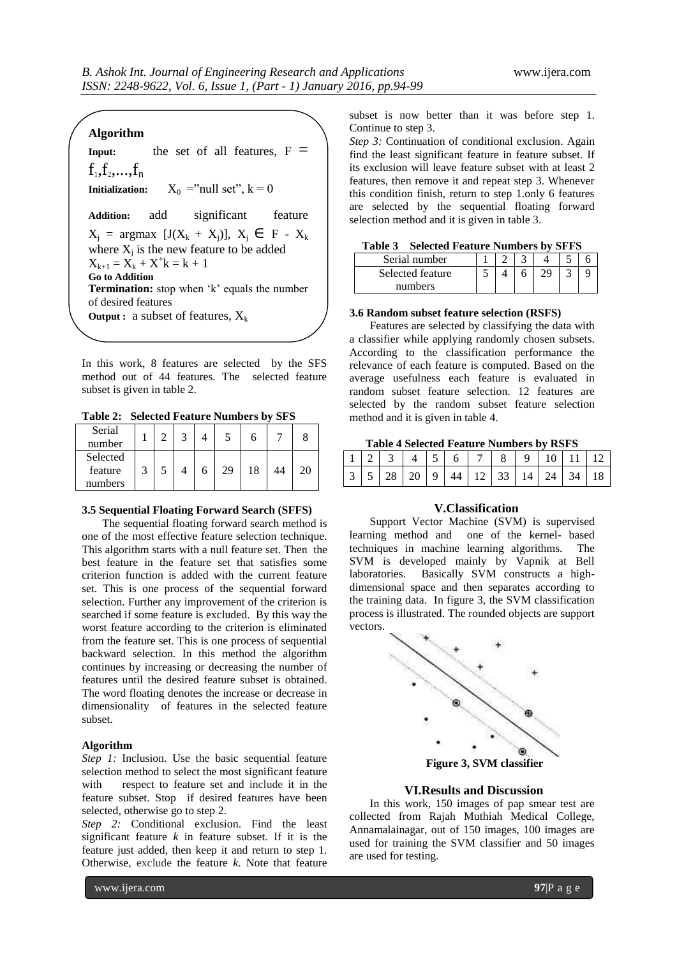#### **Algorithm**

**Input:** the set of all features,  $F =$  $f_1, f_2, \ldots, f_n$ **Initialization:**  $X_0 = "null set", k = 0$ **Addition:** add significant feature  $X_i$  = argmax [J( $X_k + X_i$ )],  $X_i \in F - X_k$ where  $X_j$  is the new feature to be added  $X_{k+1} = X_k + X^+k = k+1$ **Go to Addition Termination:** stop when 'k' equals the number of desired features **Output :** a subset of features,  $X_k$ 

In this work, 8 features are selected by the SFS method out of 44 features. The selected feature subset is given in table 2.

**Table 2: Selected Feature Numbers by SFS**

| Serial<br>number |   |  |    |    |    |
|------------------|---|--|----|----|----|
| Selected         |   |  |    |    |    |
| feature          | 2 |  | 29 | 18 | 20 |
| numbers          |   |  |    |    |    |

#### **3.5 Sequential Floating Forward Search (SFFS)**

The sequential floating forward search method is one of the most effective feature selection technique. This algorithm starts with a null feature set. Then the best feature in the feature set that satisfies some criterion function is added with the current feature set. This is one process of the sequential forward selection. Further any improvement of the criterion is searched if some feature is excluded. By this way the worst feature according to the criterion is eliminated from the feature set. This is one process of sequential backward selection. In this method the algorithm continues by increasing or decreasing the number of features until the desired feature subset is obtained. The word floating denotes the increase or decrease in dimensionality of features in the selected feature subset.

#### **Algorithm**

*Step 1:* Inclusion. Use the basic sequential feature selection method to select the most significant feature with respect to feature set and include it in the feature subset. Stop if desired features have been selected, otherwise go to step 2.

*Step 2:* Conditional exclusion. Find the least significant feature *k* in feature subset. If it is the feature just added, then keep it and return to step 1. Otherwise, exclude the feature *k*. Note that feature

subset is now better than it was before step 1. Continue to step 3.

*Step 3:* Continuation of conditional exclusion. Again find the least significant feature in feature subset. If its exclusion will leave feature subset with at least 2 features, then remove it and repeat step 3. Whenever this condition finish, return to step 1.only 6 features are selected by the sequential floating forward selection method and it is given in table 3.

**Table 3 Selected Feature Numbers by SFFS**

| Serial number    |  |  |  |
|------------------|--|--|--|
| Selected feature |  |  |  |
| numbers          |  |  |  |

#### **3.6 Random subset feature selection (RSFS)**

Features are selected by classifying the data with a classifier while applying randomly chosen subsets. According to the classification performance the relevance of each feature is computed. Based on the average usefulness each feature is evaluated in random subset feature selection. 12 features are selected by the random subset feature selection method and it is given in table 4.

**Table 4 Selected Feature Numbers by RSFS**

|  |  |  |  |  | $1 \mid 2 \mid 3 \mid 4 \mid 5 \mid 6 \mid 7 \mid 8 \mid 9 \mid 10 \mid 11 \mid 12 \mid$ |  |
|--|--|--|--|--|------------------------------------------------------------------------------------------|--|
|  |  |  |  |  | 3   5   28   20   9   44   12   33   14   24   34   18                                   |  |

#### **V.Classification**

Support Vector Machine (SVM) is supervised learning method and one of the kernel- based techniques in machine learning algorithms. The SVM is developed mainly by Vapnik at Bell laboratories. Basically SVM constructs a highdimensional space and then separates according to the training data. In figure 3, the SVM classification process is illustrated. The rounded objects are support vectors.



**Figure 3, SVM classifier**

#### **VI.Results and Discussion**

In this work, 150 images of pap smear test are collected from Rajah Muthiah Medical College, Annamalainagar, out of 150 images, 100 images are used for training the SVM classifier and 50 images are used for testing.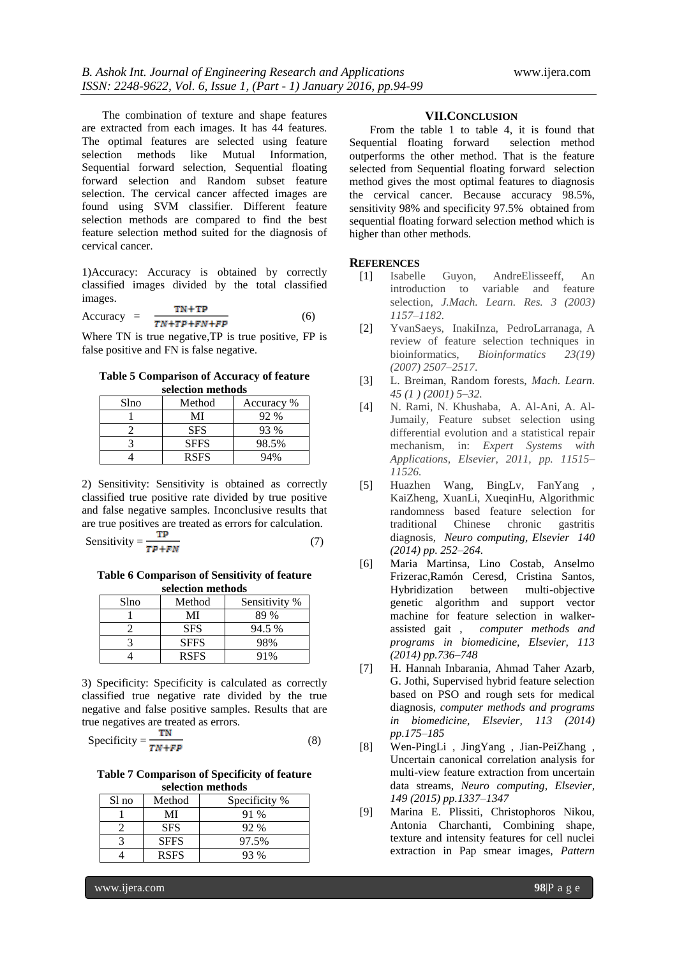The combination of texture and shape features are extracted from each images. It has 44 features. The optimal features are selected using feature selection methods like Mutual Information, Sequential forward selection, Sequential floating forward selection and Random subset feature selection. The cervical cancer affected images are found using SVM classifier. Different feature selection methods are compared to find the best feature selection method suited for the diagnosis of cervical cancer.

1)Accuracy: Accuracy is obtained by correctly classified images divided by the total classified images.

$$
Accuracy = \frac{TN + TP}{TN + TP + FN + FP}
$$
 (6)

Where TN is true negative,TP is true positive, FP is false positive and FN is false negative.

**Table 5 Comparison of Accuracy of feature selection methods**

| Slno | Method      | Accuracy % |
|------|-------------|------------|
|      | MI          | 92 %       |
|      | <b>SFS</b>  | 93 %       |
|      | <b>SFFS</b> | 98.5%      |
|      | <b>RSFS</b> | 94%        |

2) Sensitivity: Sensitivity is obtained as correctly classified true positive rate divided by true positive and false negative samples. Inconclusive results that are true positives are treated as errors for calculation.

$$
Sensitivity = \frac{1}{TP + FN} \tag{7}
$$

**Table 6 Comparison of Sensitivity of feature selection methods**

| Slno | Method      | Sensitivity % |
|------|-------------|---------------|
|      | MI          | 89 %          |
|      | <b>SFS</b>  | 94.5 %        |
|      | <b>SFFS</b> | 98%           |
|      | <b>RSFS</b> | 91%           |

3) Specificity: Specificity is calculated as correctly classified true negative rate divided by the true negative and false positive samples. Results that are true negatives are treated as errors.

$$
Specificity = \frac{TN}{TN + FP}
$$
 (8)

**Table 7 Comparison of Specificity of feature selection methods**

| Sl no | Method      | Specificity % |
|-------|-------------|---------------|
|       | MI          | 91 %          |
|       | <b>SFS</b>  | 92 %          |
|       | <b>SFFS</b> | 97.5%         |
|       | <b>RSFS</b> | 93 %          |

#### **VII.CONCLUSION**

From the table 1 to table 4, it is found that Sequential floating forward selection method outperforms the other method. That is the feature selected from Sequential floating forward selection method gives the most optimal features to diagnosis the cervical cancer. Because accuracy 98.5%, sensitivity 98% and specificity 97.5% obtained from sequential floating forward selection method which is higher than other methods.

#### **REFERENCES**

- [1] Isabelle Guyon, AndreElisseeff, An introduction to variable and feature selection, *J.Mach. Learn. Res. 3 (2003) 1157–1182.*
- [2] YvanSaeys, InakiInza, PedroLarranaga, A review of feature selection techniques in bioinformatics, *Bioinformatics 23(19) (2007) 2507–2517*.
- [3] L. Breiman, Random forests, *Mach. Learn. 45 (1 ) (2001) 5–32.*
- [4] N. Rami, N. Khushaba, A. Al-Ani, A. Al-Jumaily, Feature subset selection using differential evolution and a statistical repair mechanism, in: *Expert Systems with Applications, Elsevier, 2011, pp. 11515– 11526.*
- [5] Huazhen Wang, BingLv, FanYang KaiZheng, XuanLi, XueqinHu, Algorithmic randomness based feature selection for traditional Chinese chronic gastritis diagnosis, *Neuro computing, Elsevier 140 (2014) pp. 252–264.*
- [6] Maria Martinsa, Lino Costab, Anselmo Frizerac,Ramón Ceresd, Cristina Santos, Hybridization between multi-objective genetic algorithm and support vector machine for feature selection in walkerassisted gait , *computer methods and programs in biomedicine, Elsevier, 113 (2014) pp.736–748*
- [7] H. Hannah Inbarania, Ahmad Taher Azarb, G. Jothi, Supervised hybrid feature selection based on PSO and rough sets for medical diagnosis, *computer methods and programs in biomedicine, Elsevier, 113 (2014) pp.175–185*
- [8] Wen-PingLi , JingYang , Jian-PeiZhang , Uncertain canonical correlation analysis for multi-view feature extraction from uncertain data streams, *Neuro computing, Elsevier, 149 (2015) pp.1337–1347*
- [9] Marina E. Plissiti, Christophoros Nikou, Antonia Charchanti, Combining shape, texture and intensity features for cell nuclei extraction in Pap smear images, *Pattern*